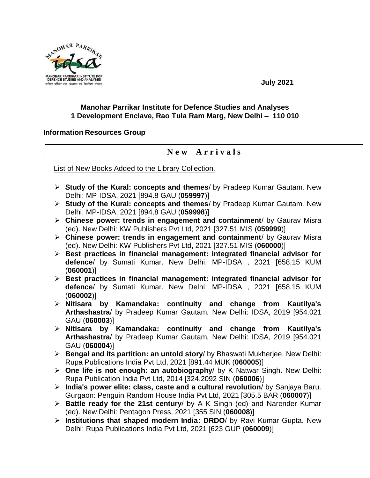

**July 2021**

## **Manohar Parrikar Institute for Defence Studies and Analyses 1 Development Enclave, Rao Tula Ram Marg, New Delhi – 110 010**

## **Information Resources Group**

## **N e w A r r i v a l s**

List of New Books Added to the Library Collection.

- **Study of the Kural: concepts and themes**/ by Pradeep Kumar Gautam. New Delhi: MP-IDSA, 2021 [894.8 GAU (**059997**)]
- **Study of the Kural: concepts and themes**/ by Pradeep Kumar Gautam. New Delhi: MP-IDSA, 2021 [894.8 GAU (**059998**)]
- **Chinese power: trends in engagement and containment**/ by Gaurav Misra (ed). New Delhi: KW Publishers Pvt Ltd, 2021 [327.51 MIS (**059999**)]
- **Chinese power: trends in engagement and containment**/ by Gaurav Misra (ed). New Delhi: KW Publishers Pvt Ltd, 2021 [327.51 MIS (**060000**)]
- **Best practices in financial management: integrated financial advisor for defence**/ by Sumati Kumar. New Delhi: MP-IDSA , 2021 [658.15 KUM (**060001**)]
- **Best practices in financial management: integrated financial advisor for defence**/ by Sumati Kumar. New Delhi: MP-IDSA , 2021 [658.15 KUM (**060002**)]
- **Nitisara by Kamandaka: continuity and change from Kautilya's Arthashastra**/ by Pradeep Kumar Gautam. New Delhi: IDSA, 2019 [954.021 GAU (**060003**)]
- **Nitisara by Kamandaka: continuity and change from Kautilya's Arthashastra**/ by Pradeep Kumar Gautam. New Delhi: IDSA, 2019 [954.021 GAU (**060004**)]
- **Bengal and its partition: an untold story**/ by Bhaswati Mukherjee. New Delhi: Rupa Publications India Pvt Ltd, 2021 [891.44 MUK (**060005**)]
- **One life is not enough: an autobiography**/ by K Natwar Singh. New Delhi: Rupa Publication India Pvt Ltd, 2014 [324.2092 SIN (**060006**)]
- **India's power elite: class, caste and a cultural revolution**/ by Sanjaya Baru. Gurgaon: Penguin Random House India Pvt Ltd, 2021 [305.5 BAR (**060007**)]
- **Battle ready for the 21st century**/ by A K Singh (ed) and Narender Kumar (ed). New Delhi: Pentagon Press, 2021 [355 SIN (**060008**)]
- **Institutions that shaped modern India: DRDO**/ by Ravi Kumar Gupta. New Delhi: Rupa Publications India Pvt Ltd, 2021 [623 GUP (**060009**)]